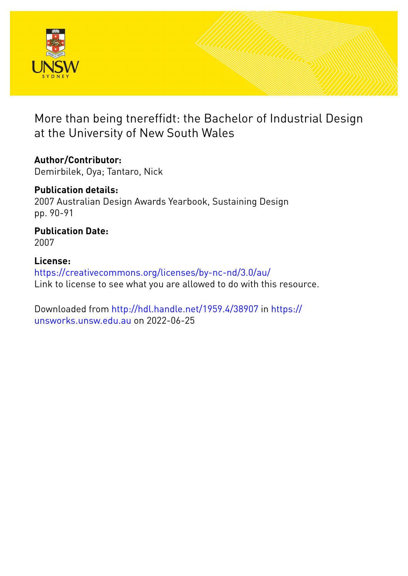

More than being tnereffidt: the Bachelor of Industrial Design at the University of New South Wales

## **Author/Contributor:**

Demirbilek, Oya; Tantaro, Nick

## **Publication details:** 2007 Australian Design Awards Yearbook, Sustaining Design pp. 90-91

**Publication Date:** 2007

## **License:**

<https://creativecommons.org/licenses/by-nc-nd/3.0/au/> Link to license to see what you are allowed to do with this resource.

Downloaded from <http://hdl.handle.net/1959.4/38907> in [https://](https://unsworks.unsw.edu.au) [unsworks.unsw.edu.au](https://unsworks.unsw.edu.au) on 2022-06-25